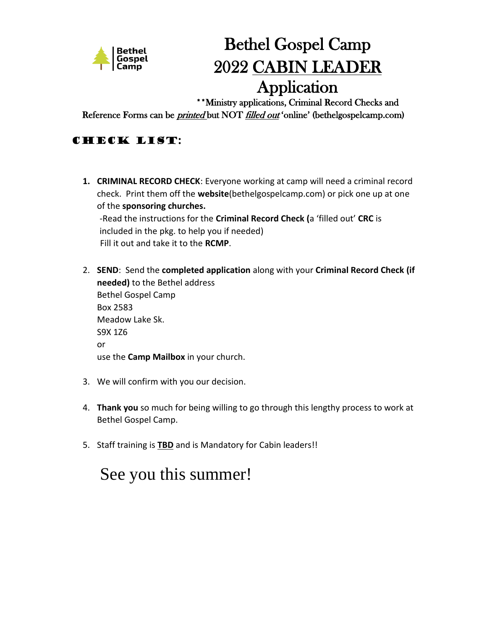

# Bethel Gospel Camp 2022 CABIN LEADER Application

\*\*Ministry applications, Criminal Record Checks and

Reference Forms can be *printed* but NOT *filled out* 'online' (bethelgospelcamp.com)

## Check list:

**1. CRIMINAL RECORD CHECK**: Everyone working at camp will need a criminal record check. Print them off the **website**(bethelgospelcamp.com) or pick one up at one of the **sponsoring churches.** -Read the instructions for the **Criminal Record Check (**a 'filled out' **CRC** is included in the pkg. to help you if needed)

Fill it out and take it to the **RCMP**.

- 2. **SEND**: Send the **completed application** along with your **Criminal Record Check (if needed)** to the Bethel address Bethel Gospel Camp Box 2583 Meadow Lake Sk. S9X 1Z6 or use the **Camp Mailbox** in your church.
- 3. We will confirm with you our decision.
- 4. **Thank you** so much for being willing to go through this lengthy process to work at Bethel Gospel Camp.
- 5. Staff training is **TBD** and is Mandatory for Cabin leaders!!

## See you this summer!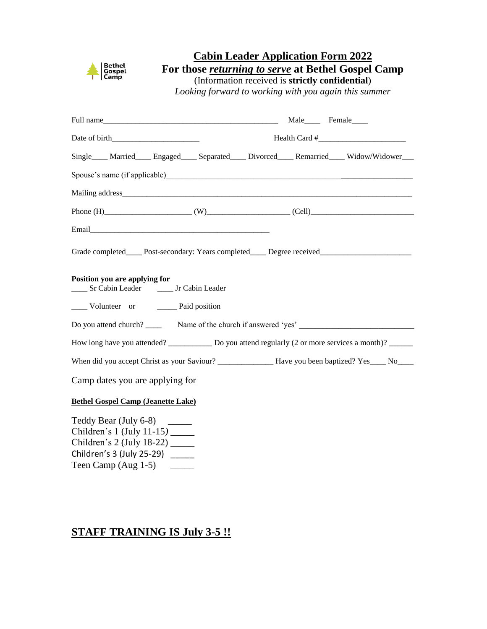

## **Cabin Leader Application Form 2022**

**For those** *returning to serve* **at Bethel Gospel Camp**

(Information received is **strictly confidential**)

*Looking forward to working with you again this summer*

| Full name Male Female Female                                                                                                               |  |  |  |  |
|--------------------------------------------------------------------------------------------------------------------------------------------|--|--|--|--|
| $Health Card #$ [100]<br>Date of birth                                                                                                     |  |  |  |  |
| Single Married Engaged Separated Divorced Remarried Widow/Widower                                                                          |  |  |  |  |
|                                                                                                                                            |  |  |  |  |
|                                                                                                                                            |  |  |  |  |
|                                                                                                                                            |  |  |  |  |
|                                                                                                                                            |  |  |  |  |
| Grade completed_____ Post-secondary: Years completed_____ Degree received__________________________                                        |  |  |  |  |
| Position you are applying for<br>_____ Sr Cabin Leader _______ Jr Cabin Leader                                                             |  |  |  |  |
| ______ Volunteer or _________ Paid position                                                                                                |  |  |  |  |
|                                                                                                                                            |  |  |  |  |
| How long have you attended? ___________ Do you attend regularly (2 or more services a month)? _____                                        |  |  |  |  |
|                                                                                                                                            |  |  |  |  |
| Camp dates you are applying for                                                                                                            |  |  |  |  |
| <b>Bethel Gospel Camp (Jeanette Lake)</b>                                                                                                  |  |  |  |  |
| Teddy Bear (July 6-8) _______<br>Children's 1 (July 11-15) _______<br>Children's 2 (July 18-22) $\frac{1}{2}$<br>Children's 3 (July 25-29) |  |  |  |  |

Teen Camp (Aug 1-5) \_\_\_\_\_

## **STAFF TRAINING IS July 3-5 !!**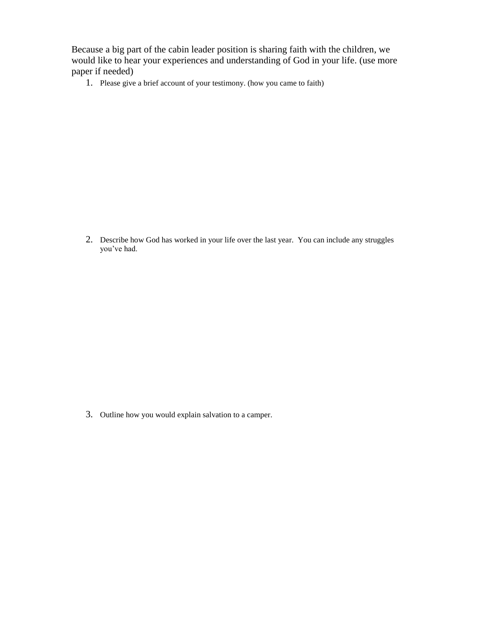Because a big part of the cabin leader position is sharing faith with the children, we would like to hear your experiences and understanding of God in your life. (use more paper if needed)

1. Please give a brief account of your testimony. (how you came to faith)

2. Describe how God has worked in your life over the last year. You can include any struggles you've had.

3. Outline how you would explain salvation to a camper.